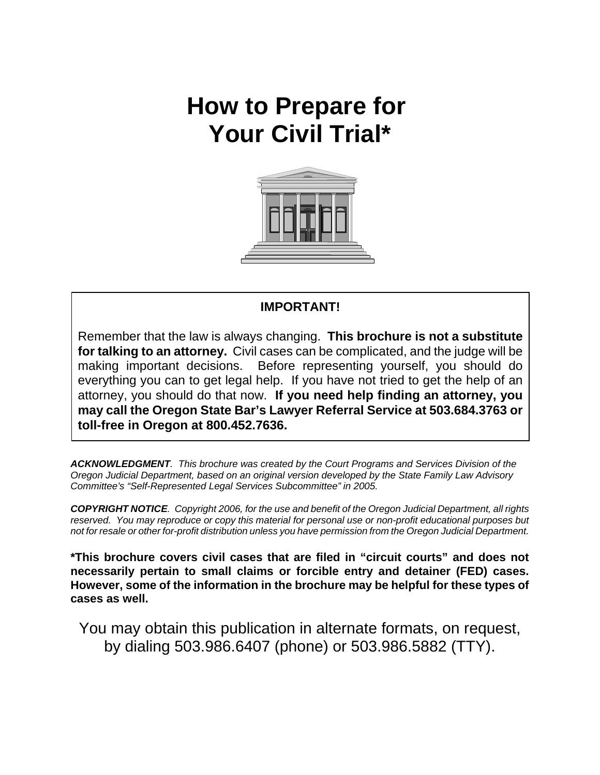# **How to Prepare for Your Civil Trial\***



### **IMPORTANT!**

Remember that the law is always changing. **This brochure is not a substitute for talking to an attorney.** Civil cases can be complicated, and the judge will be making important decisions. Before representing yourself, you should do everything you can to get legal help. If you have not tried to get the help of an attorney, you should do that now. **If you need help finding an attorney, you may call the Oregon State Bar's Lawyer Referral Service at 503.684.3763 or toll-free in Oregon at 800.452.7636.** 

*ACKNOWLEDGMENT. This brochure was created by the Court Programs and Services Division of the Oregon Judicial Department, based on an original version developed by the State Family Law Advisory Committee's "Self-Represented Legal Services Subcommittee" in 2005.* 

*COPYRIGHT NOTICE. Copyright 2006, for the use and benefit of the Oregon Judicial Department, all rights reserved. You may reproduce or copy this material for personal use or non-profit educational purposes but not for resale or other for-profit distribution unless you have permission from the Oregon Judicial Department.*

**\*This brochure covers civil cases that are filed in "circuit courts" and does not necessarily pertain to small claims or forcible entry and detainer (FED) cases. However, some of the information in the brochure may be helpful for these types of cases as well.**

You may obtain this publication in alternate formats, on request, by dialing 503.986.6407 (phone) or 503.986.5882 (TTY).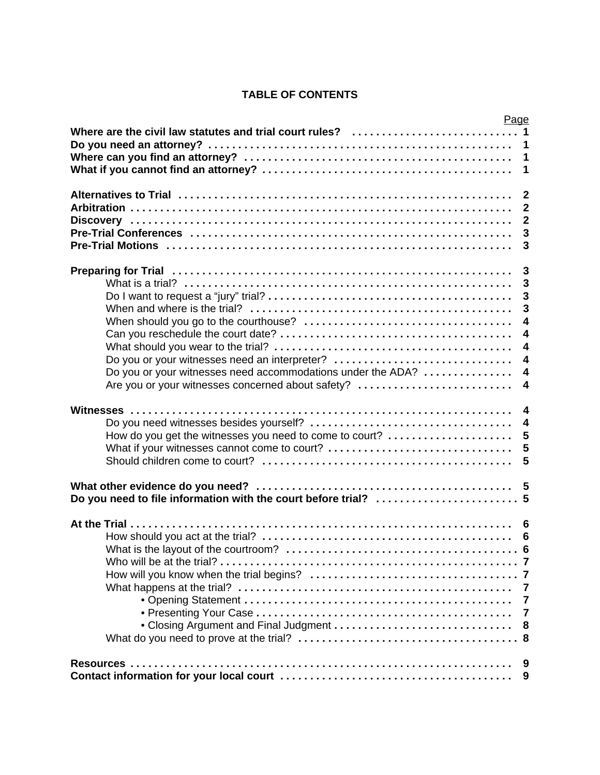### **TABLE OF CONTENTS**

|                                                             | Page                    |                         |
|-------------------------------------------------------------|-------------------------|-------------------------|
| Where are the civil law statutes and trial court rules?  1  |                         |                         |
|                                                             |                         |                         |
|                                                             | $\overline{\mathbf{1}}$ |                         |
|                                                             |                         | $\overline{1}$          |
|                                                             | $\overline{\mathbf{2}}$ |                         |
|                                                             |                         | $\overline{2}$          |
|                                                             |                         | $\overline{2}$          |
|                                                             |                         | $\mathbf{3}$            |
|                                                             |                         | $\overline{3}$          |
|                                                             |                         |                         |
|                                                             |                         | $\mathbf{3}$            |
|                                                             |                         | $\overline{\mathbf{3}}$ |
|                                                             |                         | $\mathbf{3}$            |
|                                                             |                         | $\overline{\mathbf{3}}$ |
|                                                             |                         | $\overline{\mathbf{4}}$ |
|                                                             |                         | $\overline{\mathbf{4}}$ |
|                                                             |                         | $\overline{\mathbf{4}}$ |
| Do you or your witnesses need an interpreter?               |                         | $\overline{4}$          |
| Do you or your witnesses need accommodations under the ADA? |                         | $\boldsymbol{4}$        |
| Are you or your witnesses concerned about safety?           |                         | $\overline{\mathbf{4}}$ |
|                                                             | $\overline{\mathbf{4}}$ |                         |
|                                                             |                         | $\overline{4}$          |
| How do you get the witnesses you need to come to court?  5  |                         |                         |
| What if your witnesses cannot come to court?                |                         | 5                       |
|                                                             |                         | 5                       |
|                                                             |                         |                         |
|                                                             |                         |                         |
|                                                             |                         |                         |
|                                                             |                         |                         |
|                                                             |                         |                         |
|                                                             |                         | 6                       |
|                                                             |                         |                         |
|                                                             |                         |                         |
|                                                             |                         |                         |
|                                                             |                         |                         |
|                                                             | $\overline{7}$          |                         |
|                                                             |                         |                         |
|                                                             |                         |                         |
|                                                             |                         |                         |
|                                                             |                         | 9                       |
|                                                             |                         | 9                       |
|                                                             |                         |                         |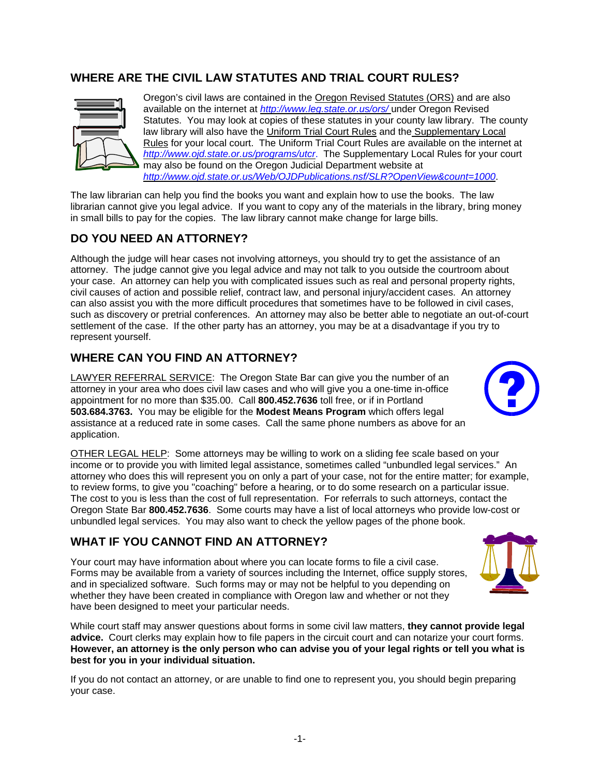### **WHERE ARE THE CIVIL LAW STATUTES AND TRIAL COURT RULES?**



Oregon's civil laws are contained in the Oregon Revised Statutes (ORS) and are also available on the internet at *http://www.leg.state.or.us/ors/* under Oregon Revised Statutes. You may look at copies of these statutes in your county law library. The county law library will also have the Uniform Trial Court Rules and the Supplementary Local Rules for your local court. The Uniform Trial Court Rules are available on the internet at *http://www.ojd.state.or.us/programs/utcr*. The Supplementary Local Rules for your court may also be found on the Oregon Judicial Department website at *http://www.ojd.state.or.us/Web/OJDPublications.nsf/SLR?OpenView&count=1000*.

The law librarian can help you find the books you want and explain how to use the books. The law librarian cannot give you legal advice. If you want to copy any of the materials in the library, bring money in small bills to pay for the copies. The law library cannot make change for large bills.

### **DO YOU NEED AN ATTORNEY?**

Although the judge will hear cases not involving attorneys, you should try to get the assistance of an attorney. The judge cannot give you legal advice and may not talk to you outside the courtroom about your case. An attorney can help you with complicated issues such as real and personal property rights, civil causes of action and possible relief, contract law, and personal injury/accident cases. An attorney can also assist you with the more difficult procedures that sometimes have to be followed in civil cases, such as discovery or pretrial conferences. An attorney may also be better able to negotiate an out-of-court settlement of the case. If the other party has an attorney, you may be at a disadvantage if you try to represent yourself.

### **WHERE CAN YOU FIND AN ATTORNEY?**

LAWYER REFERRAL SERVICE: The Oregon State Bar can give you the number of an attorney in your area who does civil law cases and who will give you a one-time in-office appointment for no more than \$35.00. Call **800.452.7636** toll free, or if in Portland **503.684.3763.** You may be eligible for the **Modest Means Program** which offers legal assistance at a reduced rate in some cases. Call the same phone numbers as above for an application.

OTHER LEGAL HELP: Some attorneys may be willing to work on a sliding fee scale based on your income or to provide you with limited legal assistance, sometimes called "unbundled legal services." An attorney who does this will represent you on only a part of your case, not for the entire matter; for example, to review forms, to give you "coaching" before a hearing, or to do some research on a particular issue. The cost to you is less than the cost of full representation. For referrals to such attorneys, contact the Oregon State Bar **800.452.7636**. Some courts may have a list of local attorneys who provide low-cost or unbundled legal services. You may also want to check the yellow pages of the phone book.

### **WHAT IF YOU CANNOT FIND AN ATTORNEY?**

Your court may have information about where you can locate forms to file a civil case. Forms may be available from a variety of sources including the Internet, office supply stores, and in specialized software. Such forms may or may not be helpful to you depending on whether they have been created in compliance with Oregon law and whether or not they have been designed to meet your particular needs.

While court staff may answer questions about forms in some civil law matters, **they cannot provide legal advice.** Court clerks may explain how to file papers in the circuit court and can notarize your court forms. **However, an attorney is the only person who can advise you of your legal rights or tell you what is best for you in your individual situation.**

If you do not contact an attorney, or are unable to find one to represent you, you should begin preparing your case.



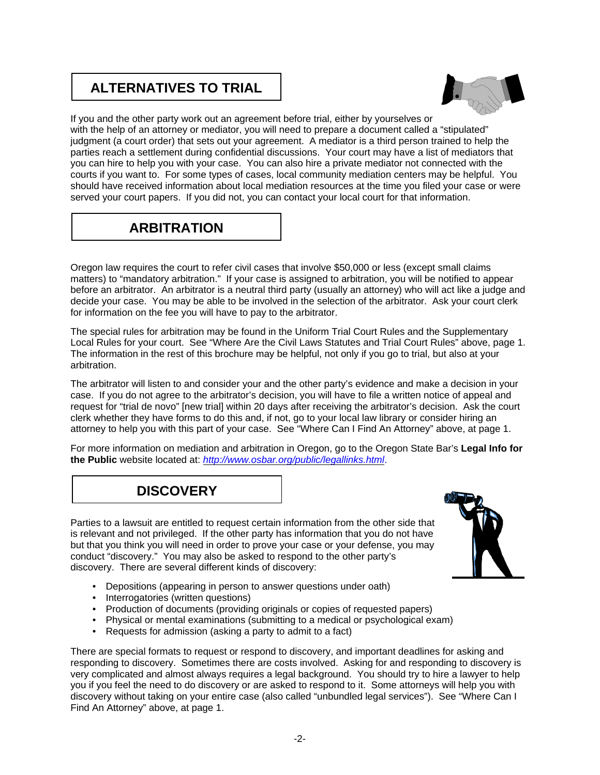## **ALTERNATIVES TO TRIAL**



If you and the other party work out an agreement before trial, either by yourselves or with the help of an attorney or mediator, you will need to prepare a document called a "stipulated" judgment (a court order) that sets out your agreement. A mediator is a third person trained to help the parties reach a settlement during confidential discussions. Your court may have a list of mediators that you can hire to help you with your case. You can also hire a private mediator not connected with the courts if you want to. For some types of cases, local community mediation centers may be helpful. You should have received information about local mediation resources at the time you filed your case or were served your court papers. If you did not, you can contact your local court for that information.

# **ARBITRATION**

Oregon law requires the court to refer civil cases that involve \$50,000 or less (except small claims matters) to "mandatory arbitration." If your case is assigned to arbitration, you will be notified to appear before an arbitrator. An arbitrator is a neutral third party (usually an attorney) who will act like a judge and decide your case. You may be able to be involved in the selection of the arbitrator. Ask your court clerk for information on the fee you will have to pay to the arbitrator.

The special rules for arbitration may be found in the Uniform Trial Court Rules and the Supplementary Local Rules for your court. See "Where Are the Civil Laws Statutes and Trial Court Rules" above, page 1. The information in the rest of this brochure may be helpful, not only if you go to trial, but also at your arbitration.

The arbitrator will listen to and consider your and the other party's evidence and make a decision in your case. If you do not agree to the arbitrator's decision, you will have to file a written notice of appeal and request for "trial de novo" [new trial] within 20 days after receiving the arbitrator's decision. Ask the court clerk whether they have forms to do this and, if not, go to your local law library or consider hiring an attorney to help you with this part of your case. See "Where Can I Find An Attorney" above, at page 1.

For more information on mediation and arbitration in Oregon, go to the Oregon State Bar's **Legal Info for the Public** website located at: *http://www.osbar.org/public/legallinks.html*.

# **DISCOVERY**

Parties to a lawsuit are entitled to request certain information from the other side that is relevant and not privileged. If the other party has information that you do not have but that you think you will need in order to prove your case or your defense, you may conduct "discovery." You may also be asked to respond to the other party's discovery. There are several different kinds of discovery:



- Depositions (appearing in person to answer questions under oath)
- Interrogatories (written questions)
- Production of documents (providing originals or copies of requested papers)
- Physical or mental examinations (submitting to a medical or psychological exam)
- Requests for admission (asking a party to admit to a fact)

There are special formats to request or respond to discovery, and important deadlines for asking and responding to discovery. Sometimes there are costs involved. Asking for and responding to discovery is very complicated and almost always requires a legal background. You should try to hire a lawyer to help you if you feel the need to do discovery or are asked to respond to it. Some attorneys will help you with discovery without taking on your entire case (also called "unbundled legal services"). See "Where Can I Find An Attorney" above, at page 1.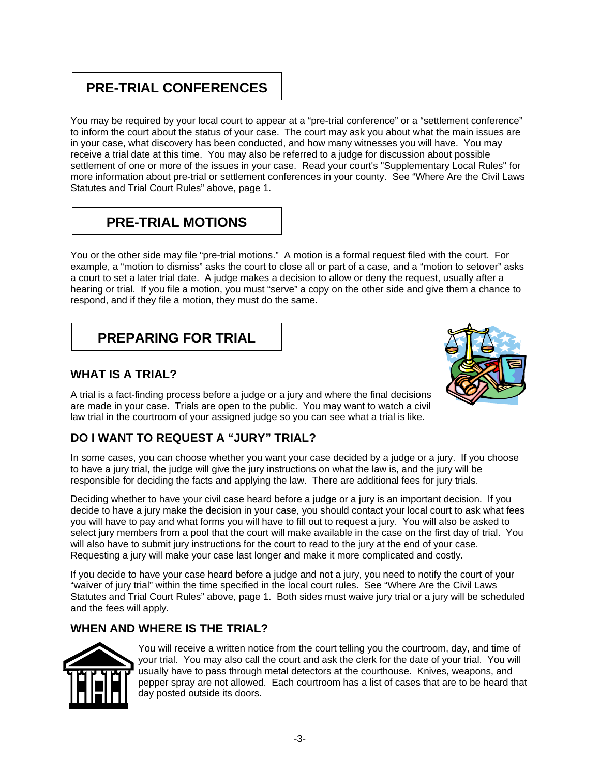# **PRE-TRIAL CONFERENCES**

You may be required by your local court to appear at a "pre-trial conference" or a "settlement conference" to inform the court about the status of your case. The court may ask you about what the main issues are in your case, what discovery has been conducted, and how many witnesses you will have. You may receive a trial date at this time. You may also be referred to a judge for discussion about possible settlement of one or more of the issues in your case. Read your court's "Supplementary Local Rules" for more information about pre-trial or settlement conferences in your county. See "Where Are the Civil Laws Statutes and Trial Court Rules" above, page 1.

# **PRE-TRIAL MOTIONS**

You or the other side may file "pre-trial motions." A motion is a formal request filed with the court. For example, a "motion to dismiss" asks the court to close all or part of a case, and a "motion to setover" asks a court to set a later trial date. A judge makes a decision to allow or deny the request, usually after a hearing or trial. If you file a motion, you must "serve" a copy on the other side and give them a chance to respond, and if they file a motion, they must do the same.

# **PREPARING FOR TRIAL**

### **WHAT IS A TRIAL?**



A trial is a fact-finding process before a judge or a jury and where the final decisions are made in your case. Trials are open to the public. You may want to watch a civil law trial in the courtroom of your assigned judge so you can see what a trial is like.

### **DO I WANT TO REQUEST A "JURY" TRIAL?**

In some cases, you can choose whether you want your case decided by a judge or a jury. If you choose to have a jury trial, the judge will give the jury instructions on what the law is, and the jury will be responsible for deciding the facts and applying the law. There are additional fees for jury trials.

Deciding whether to have your civil case heard before a judge or a jury is an important decision. If you decide to have a jury make the decision in your case, you should contact your local court to ask what fees you will have to pay and what forms you will have to fill out to request a jury. You will also be asked to select jury members from a pool that the court will make available in the case on the first day of trial. You will also have to submit jury instructions for the court to read to the jury at the end of your case. Requesting a jury will make your case last longer and make it more complicated and costly.

If you decide to have your case heard before a judge and not a jury, you need to notify the court of your "waiver of jury trial" within the time specified in the local court rules. See "Where Are the Civil Laws Statutes and Trial Court Rules" above, page 1. Both sides must waive jury trial or a jury will be scheduled and the fees will apply.

### **WHEN AND WHERE IS THE TRIAL?**



You will receive a written notice from the court telling you the courtroom, day, and time of your trial. You may also call the court and ask the clerk for the date of your trial. You will usually have to pass through metal detectors at the courthouse. Knives, weapons, and pepper spray are not allowed. Each courtroom has a list of cases that are to be heard that day posted outside its doors.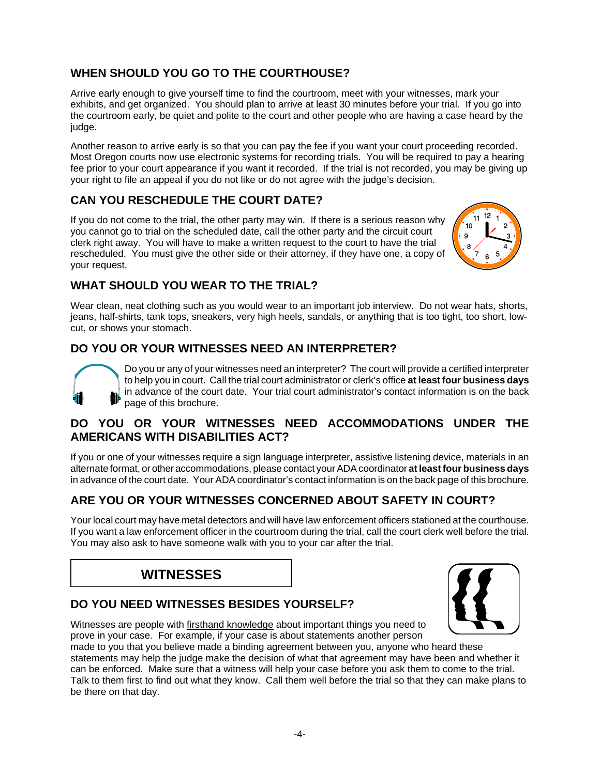### **WHEN SHOULD YOU GO TO THE COURTHOUSE?**

Arrive early enough to give yourself time to find the courtroom, meet with your witnesses, mark your exhibits, and get organized. You should plan to arrive at least 30 minutes before your trial. If you go into the courtroom early, be quiet and polite to the court and other people who are having a case heard by the judge.

Another reason to arrive early is so that you can pay the fee if you want your court proceeding recorded. Most Oregon courts now use electronic systems for recording trials. You will be required to pay a hearing fee prior to your court appearance if you want it recorded. If the trial is not recorded, you may be giving up your right to file an appeal if you do not like or do not agree with the judge's decision.

### **CAN YOU RESCHEDULE THE COURT DATE?**

If you do not come to the trial, the other party may win. If there is a serious reason why you cannot go to trial on the scheduled date, call the other party and the circuit court clerk right away. You will have to make a written request to the court to have the trial rescheduled. You must give the other side or their attorney, if they have one, a copy of your request.



### **WHAT SHOULD YOU WEAR TO THE TRIAL?**

Wear clean, neat clothing such as you would wear to an important job interview. Do not wear hats, shorts, jeans, half-shirts, tank tops, sneakers, very high heels, sandals, or anything that is too tight, too short, lowcut, or shows your stomach.

### **DO YOU OR YOUR WITNESSES NEED AN INTERPRETER?**



Do you or any of your witnesses need an interpreter? The court will provide a certified interpreter to help you in court. Call the trial court administrator or clerk's office **at least four business days** in advance of the court date. Your trial court administrator's contact information is on the back page of this brochure.

### **DO YOU OR YOUR WITNESSES NEED ACCOMMODATIONS UNDER THE AMERICANS WITH DISABILITIES ACT?**

If you or one of your witnesses require a sign language interpreter, assistive listening device, materials in an alternate format, or other accommodations, please contact your ADA coordinator **at least four business days** in advance of the court date. Your ADA coordinator's contact information is on the back page of this brochure.

### **ARE YOU OR YOUR WITNESSES CONCERNED ABOUT SAFETY IN COURT?**

Your local court may have metal detectors and will have law enforcement officers stationed at the courthouse. If you want a law enforcement officer in the courtroom during the trial, call the court clerk well before the trial. You may also ask to have someone walk with you to your car after the trial.

### **WITNESSES**

### **DO YOU NEED WITNESSES BESIDES YOURSELF?**



Witnesses are people with firsthand knowledge about important things you need to prove in your case. For example, if your case is about statements another person

made to you that you believe made a binding agreement between you, anyone who heard these statements may help the judge make the decision of what that agreement may have been and whether it can be enforced. Make sure that a witness will help your case before you ask them to come to the trial. Talk to them first to find out what they know. Call them well before the trial so that they can make plans to be there on that day.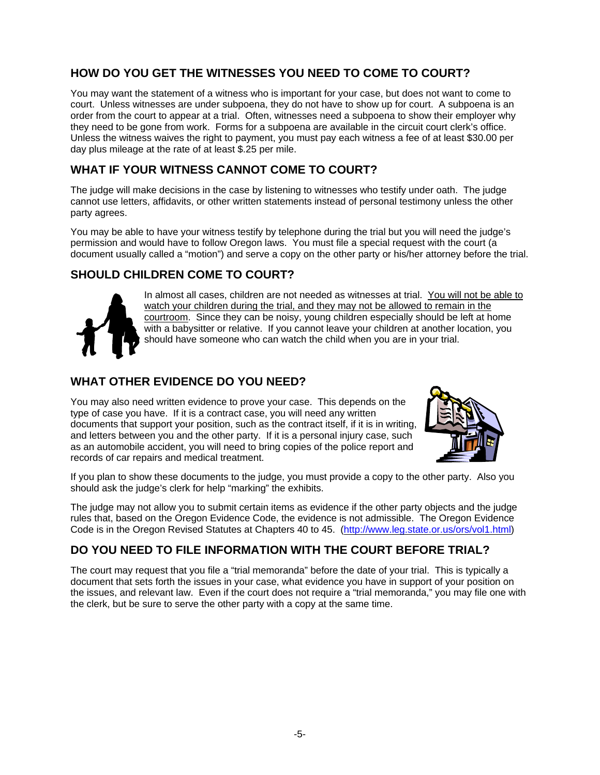### **HOW DO YOU GET THE WITNESSES YOU NEED TO COME TO COURT?**

You may want the statement of a witness who is important for your case, but does not want to come to court. Unless witnesses are under subpoena, they do not have to show up for court. A subpoena is an order from the court to appear at a trial. Often, witnesses need a subpoena to show their employer why they need to be gone from work. Forms for a subpoena are available in the circuit court clerk's office. Unless the witness waives the right to payment, you must pay each witness a fee of at least \$30.00 per day plus mileage at the rate of at least \$.25 per mile.

#### **WHAT IF YOUR WITNESS CANNOT COME TO COURT?**

The judge will make decisions in the case by listening to witnesses who testify under oath. The judge cannot use letters, affidavits, or other written statements instead of personal testimony unless the other party agrees.

You may be able to have your witness testify by telephone during the trial but you will need the judge's permission and would have to follow Oregon laws. You must file a special request with the court (a document usually called a "motion") and serve a copy on the other party or his/her attorney before the trial.

### **SHOULD CHILDREN COME TO COURT?**



In almost all cases, children are not needed as witnesses at trial. You will not be able to watch your children during the trial, and they may not be allowed to remain in the courtroom. Since they can be noisy, young children especially should be left at home with a babysitter or relative. If you cannot leave your children at another location, you should have someone who can watch the child when you are in your trial.

### **WHAT OTHER EVIDENCE DO YOU NEED?**

You may also need written evidence to prove your case. This depends on the type of case you have. If it is a contract case, you will need any written documents that support your position, such as the contract itself, if it is in writing, and letters between you and the other party. If it is a personal injury case, such as an automobile accident, you will need to bring copies of the police report and records of car repairs and medical treatment.



If you plan to show these documents to the judge, you must provide a copy to the other party. Also you should ask the judge's clerk for help "marking" the exhibits.

The judge may not allow you to submit certain items as evidence if the other party objects and the judge rules that, based on the Oregon Evidence Code, the evidence is not admissible. The Oregon Evidence Code is in the Oregon Revised Statutes at Chapters 40 to 45. (http://www.leg.state.or.us/ors/vol1.html)

### **DO YOU NEED TO FILE INFORMATION WITH THE COURT BEFORE TRIAL?**

The court may request that you file a "trial memoranda" before the date of your trial. This is typically a document that sets forth the issues in your case, what evidence you have in support of your position on the issues, and relevant law. Even if the court does not require a "trial memoranda," you may file one with the clerk, but be sure to serve the other party with a copy at the same time.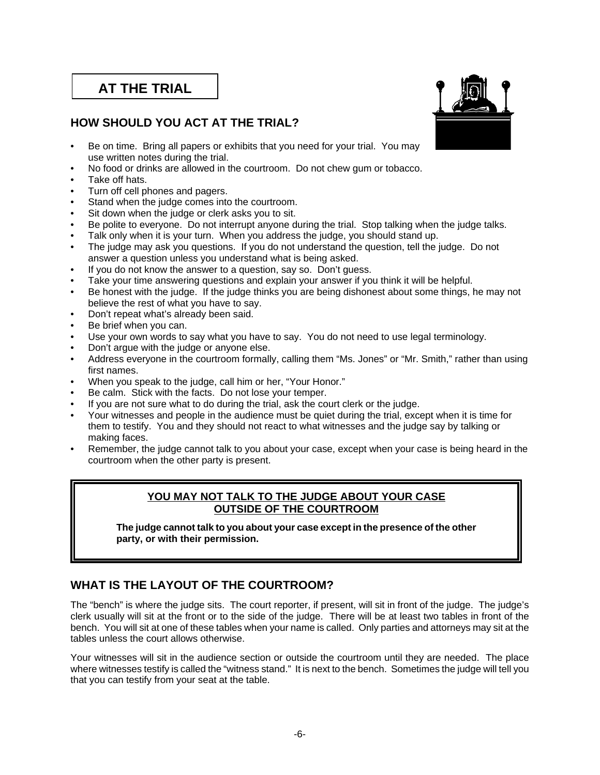# **AT THE TRIAL**

### **HOW SHOULD YOU ACT AT THE TRIAL?**

- Be on time. Bring all papers or exhibits that you need for your trial. You may use written notes during the trial.
- No food or drinks are allowed in the courtroom. Do not chew gum or tobacco.
- Take off hats.
- Turn off cell phones and pagers.
- Stand when the judge comes into the courtroom.
- Sit down when the judge or clerk asks you to sit.
- Be polite to everyone. Do not interrupt anyone during the trial. Stop talking when the judge talks.
- Talk only when it is your turn. When you address the judge, you should stand up.
- The judge may ask you questions. If you do not understand the question, tell the judge. Do not answer a question unless you understand what is being asked.
- If you do not know the answer to a question, say so. Don't guess.
- Take your time answering questions and explain your answer if you think it will be helpful.
- Be honest with the judge. If the judge thinks you are being dishonest about some things, he may not believe the rest of what you have to say.
- Don't repeat what's already been said.
- Be brief when you can.
- Use your own words to say what you have to say. You do not need to use legal terminology.
- Don't argue with the judge or anyone else.
- Address everyone in the courtroom formally, calling them "Ms. Jones" or "Mr. Smith," rather than using first names.
- When you speak to the judge, call him or her, "Your Honor."
- Be calm. Stick with the facts. Do not lose your temper.
- If you are not sure what to do during the trial, ask the court clerk or the judge.
- Your witnesses and people in the audience must be quiet during the trial, except when it is time for them to testify. You and they should not react to what witnesses and the judge say by talking or making faces.
- Remember, the judge cannot talk to you about your case, except when your case is being heard in the courtroom when the other party is present.

#### **YOU MAY NOT TALK TO THE JUDGE ABOUT YOUR CASE OUTSIDE OF THE COURTROOM**

**The judge cannot talk to you about your case except in the presence of the other party, or with their permission.**

### **WHAT IS THE LAYOUT OF THE COURTROOM?**

The "bench" is where the judge sits. The court reporter, if present, will sit in front of the judge. The judge's clerk usually will sit at the front or to the side of the judge. There will be at least two tables in front of the bench. You will sit at one of these tables when your name is called. Only parties and attorneys may sit at the tables unless the court allows otherwise.

Your witnesses will sit in the audience section or outside the courtroom until they are needed. The place where witnesses testify is called the "witness stand." It is next to the bench. Sometimes the judge will tell you that you can testify from your seat at the table.

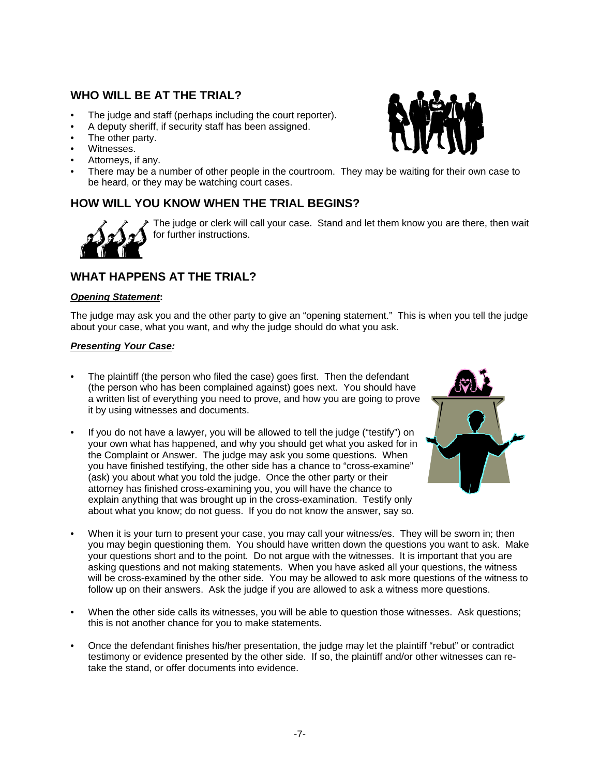### **WHO WILL BE AT THE TRIAL?**

- The judge and staff (perhaps including the court reporter).
- A deputy sheriff, if security staff has been assigned.
- The other party.
- Witnesses.
- Attorneys, if any.
- There may be a number of other people in the courtroom. They may be waiting for their own case to be heard, or they may be watching court cases.

### **HOW WILL YOU KNOW WHEN THE TRIAL BEGINS?**



The judge or clerk will call your case. Stand and let them know you are there, then wait for further instructions.

### **WHAT HAPPENS AT THE TRIAL?**

#### *Opening Statement***:**

The judge may ask you and the other party to give an "opening statement." This is when you tell the judge about your case, what you want, and why the judge should do what you ask.

#### *Presenting Your Case:*

- The plaintiff (the person who filed the case) goes first. Then the defendant (the person who has been complained against) goes next. You should have a written list of everything you need to prove, and how you are going to prove it by using witnesses and documents.
- If you do not have a lawyer, you will be allowed to tell the judge ("testify") on your own what has happened, and why you should get what you asked for in the Complaint or Answer. The judge may ask you some questions. When you have finished testifying, the other side has a chance to "cross-examine" (ask) you about what you told the judge. Once the other party or their attorney has finished cross-examining you, you will have the chance to explain anything that was brought up in the cross-examination. Testify only about what you know; do not guess. If you do not know the answer, say so.



- When it is your turn to present your case, you may call your witness/es. They will be sworn in; then you may begin questioning them. You should have written down the questions you want to ask. Make your questions short and to the point. Do not argue with the witnesses. It is important that you are asking questions and not making statements. When you have asked all your questions, the witness will be cross-examined by the other side. You may be allowed to ask more questions of the witness to follow up on their answers. Ask the judge if you are allowed to ask a witness more questions.
- When the other side calls its witnesses, you will be able to question those witnesses. Ask questions; this is not another chance for you to make statements.
- Once the defendant finishes his/her presentation, the judge may let the plaintiff "rebut" or contradict testimony or evidence presented by the other side. If so, the plaintiff and/or other witnesses can retake the stand, or offer documents into evidence.

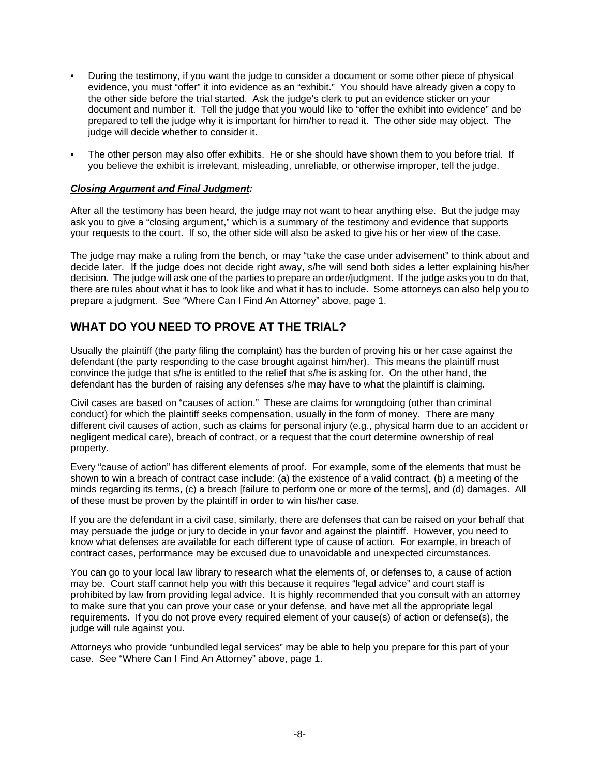- During the testimony, if you want the judge to consider a document or some other piece of physical evidence, you must "offer" it into evidence as an "exhibit." You should have already given a copy to the other side before the trial started. Ask the judge's clerk to put an evidence sticker on your document and number it. Tell the judge that you would like to "offer the exhibit into evidence" and be prepared to tell the judge why it is important for him/her to read it. The other side may object. The judge will decide whether to consider it.
- The other person may also offer exhibits. He or she should have shown them to you before trial. If you believe the exhibit is irrelevant, misleading, unreliable, or otherwise improper, tell the judge.

#### *Closing Argument and Final Judgment:*

After all the testimony has been heard, the judge may not want to hear anything else. But the judge may ask you to give a "closing argument," which is a summary of the testimony and evidence that supports your requests to the court. If so, the other side will also be asked to give his or her view of the case.

The judge may make a ruling from the bench, or may "take the case under advisement" to think about and decide later. If the judge does not decide right away, s/he will send both sides a letter explaining his/her decision. The judge will ask one of the parties to prepare an order/judgment. If the judge asks you to do that, there are rules about what it has to look like and what it has to include. Some attorneys can also help you to prepare a judgment. See "Where Can I Find An Attorney" above, page 1.

### **WHAT DO YOU NEED TO PROVE AT THE TRIAL?**

Usually the plaintiff (the party filing the complaint) has the burden of proving his or her case against the defendant (the party responding to the case brought against him/her). This means the plaintiff must convince the judge that s/he is entitled to the relief that s/he is asking for. On the other hand, the defendant has the burden of raising any defenses s/he may have to what the plaintiff is claiming.

Civil cases are based on "causes of action." These are claims for wrongdoing (other than criminal conduct) for which the plaintiff seeks compensation, usually in the form of money. There are many different civil causes of action, such as claims for personal injury (e.g., physical harm due to an accident or negligent medical care), breach of contract, or a request that the court determine ownership of real property.

Every "cause of action" has different elements of proof. For example, some of the elements that must be shown to win a breach of contract case include: (a) the existence of a valid contract, (b) a meeting of the minds regarding its terms, (c) a breach [failure to perform one or more of the terms], and (d) damages. All of these must be proven by the plaintiff in order to win his/her case.

If you are the defendant in a civil case, similarly, there are defenses that can be raised on your behalf that may persuade the judge or jury to decide in your favor and against the plaintiff. However, you need to know what defenses are available for each different type of cause of action. For example, in breach of contract cases, performance may be excused due to unavoidable and unexpected circumstances.

You can go to your local law library to research what the elements of, or defenses to, a cause of action may be. Court staff cannot help you with this because it requires "legal advice" and court staff is prohibited by law from providing legal advice. It is highly recommended that you consult with an attorney to make sure that you can prove your case or your defense, and have met all the appropriate legal requirements. If you do not prove every required element of your cause(s) of action or defense(s), the judge will rule against you.

Attorneys who provide "unbundled legal services" may be able to help you prepare for this part of your case. See "Where Can I Find An Attorney" above, page 1.